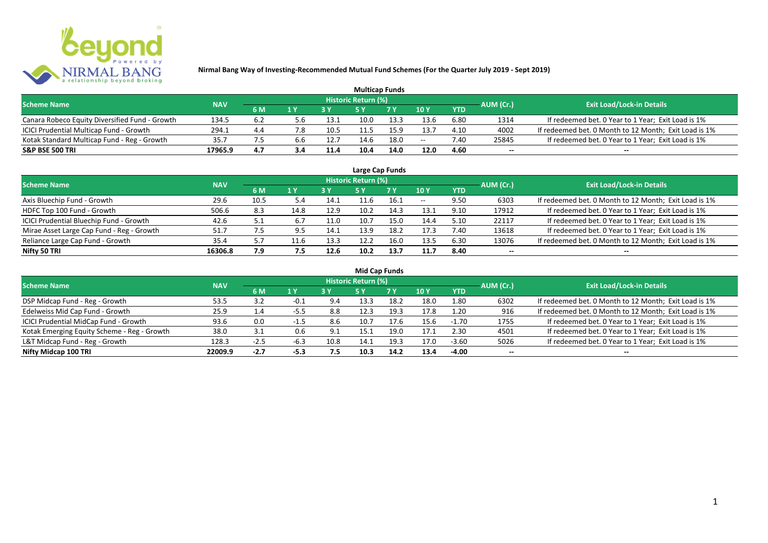

| <b>Multicap Funds</b>                          |            |     |     |      |                     |            |                 |            |           |                                                       |  |  |  |
|------------------------------------------------|------------|-----|-----|------|---------------------|------------|-----------------|------------|-----------|-------------------------------------------------------|--|--|--|
| <b>Scheme Name</b>                             | <b>NAV</b> |     |     |      | Historic Return (%) |            |                 |            | AUM (Cr.) | <b>Exit Load/Lock-in Details</b>                      |  |  |  |
|                                                |            | 6 M | 1 Y | 2V   |                     | <b>7 Y</b> | 10 <sub>Y</sub> | <b>YTD</b> |           |                                                       |  |  |  |
| Canara Robeco Equity Diversified Fund - Growth | 134.5      | 6.2 | b.b | 13.1 | 10.0                | 13.3       | 13.6            | 6.80       | 1314      | If redeemed bet. 0 Year to 1 Year; Exit Load is 1%    |  |  |  |
| ICICI Prudential Multicap Fund - Growth        | 294.1      | 4.4 | 7.8 | 10.5 |                     | 15.9       | 13.7            | 4.10       | 4002      | If redeemed bet. 0 Month to 12 Month; Exit Load is 1% |  |  |  |
| Kotak Standard Multicap Fund - Reg - Growth    | 35.7       |     | b.b | 12.7 | 14.6                | 18.0       | $- -$           | 7.40       | 25845     | If redeemed bet. 0 Year to 1 Year; Exit Load is 1%    |  |  |  |
| <b>S&amp;P BSE 500 TRI</b>                     | 17965.9    | 4.7 | 3.4 | 11.4 | 10.4                | 14.0       | 12.0            | 4.60       | $- -$     | $- -$                                                 |  |  |  |

| Large Cap Funds                           |            |      |              |      |                            |      |                          |            |           |                                                       |  |  |  |
|-------------------------------------------|------------|------|--------------|------|----------------------------|------|--------------------------|------------|-----------|-------------------------------------------------------|--|--|--|
| <b>Scheme Name</b>                        | <b>NAV</b> |      |              |      | <b>Historic Return (%)</b> |      |                          |            | AUM (Cr.) | <b>Exit Load/Lock-in Details</b>                      |  |  |  |
|                                           |            | 6 M  | $\sqrt{1}$ Y |      | 5 Y                        | 7 Y  | 10Y                      | <b>YTD</b> |           |                                                       |  |  |  |
| Axis Bluechip Fund - Growth               | 29.6       | 10.5 |              | 14.1 |                            | 16.1 | $\overline{\phantom{a}}$ | 9.50       | 6303      | If redeemed bet. 0 Month to 12 Month; Exit Load is 1% |  |  |  |
| HDFC Top 100 Fund - Growth                | 506.6      | 8.3  | 14.8         | 12.9 | 10.2                       | 14.3 | 13.1                     | 9.10       | 17912     | If redeemed bet. 0 Year to 1 Year; Exit Load is 1%    |  |  |  |
| ICICI Prudential Bluechip Fund - Growth   | 42.6       | 5.1  | 6.7          | 11.0 | 10.7                       | 15.0 | 14.4                     | 5.10       | 22117     | If redeemed bet. 0 Year to 1 Year; Exit Load is 1%    |  |  |  |
| Mirae Asset Large Cap Fund - Reg - Growth | 51.7       |      | 9.5          | 14.1 | 13.9                       | 18.2 | 17.3                     | 7.40       | 13618     | If redeemed bet. 0 Year to 1 Year; Exit Load is 1%    |  |  |  |
| Reliance Large Cap Fund - Growth          | 35.4       | 5.7  | 11.6         | 13.3 | 12.2                       | 16.0 | 13.5                     | 6.30       | 13076     | If redeemed bet. 0 Month to 12 Month; Exit Load is 1% |  |  |  |
| Nifty 50 TRI                              | 16306.8    | 7.9  | 7.5          | 12.6 | 10.2                       | 13.7 | 11.7                     | 8.40       | $- -$     | $- -$                                                 |  |  |  |

| <b>Mid Cap Funds</b>                        |            |        |        |      |                            |      |      |            |                          |                                                       |  |  |  |
|---------------------------------------------|------------|--------|--------|------|----------------------------|------|------|------------|--------------------------|-------------------------------------------------------|--|--|--|
| <b>Scheme Name</b>                          | <b>NAV</b> |        |        |      | <b>Historic Return (%)</b> |      |      |            | AUM (Cr.)                | <b>Exit Load/Lock-in Details</b>                      |  |  |  |
|                                             |            | 6 M    | 1 Y    |      | 5 Y                        | 7 Y  | 10Y  | <b>YTD</b> |                          |                                                       |  |  |  |
| DSP Midcap Fund - Reg - Growth              | 53.5       | 3.2    | $-0.1$ | 9.4  | 13.3                       | 18.2 | 18.0 | 1.80       | 6302                     | If redeemed bet. 0 Month to 12 Month; Exit Load is 1% |  |  |  |
| Edelweiss Mid Cap Fund - Growth             | 25.9       | 1.4    | -5.5   | 8.8  | 12.3                       | 19.3 | 17.8 | 1.20       | 916                      | If redeemed bet. 0 Month to 12 Month; Exit Load is 1% |  |  |  |
| ICICI Prudential MidCap Fund - Growth       | 93.6       | 0.0    |        | 8.6  | 10.7                       | 17.6 | 15.6 | $-1.70$    | 1755                     | If redeemed bet. 0 Year to 1 Year; Exit Load is 1%    |  |  |  |
| Kotak Emerging Equity Scheme - Reg - Growth | 38.0       | 3.1    |        | -9.1 | 15.1                       | 19.0 | 17.1 | 2.30       | 4501                     | If redeemed bet. 0 Year to 1 Year; Exit Load is 1%    |  |  |  |
| L&T Midcap Fund - Reg - Growth              | 128.3      | $-2.5$ | -6.3   | 10.8 | 14.1                       | 19.3 | 17.0 | $-3.60$    | 5026                     | If redeemed bet. 0 Year to 1 Year; Exit Load is 1%    |  |  |  |
| Nifty Midcap 100 TRI                        | 22009.9    | $-2.7$ | $-5.3$ | 7.5  | 10.3                       | 14.2 | 13.4 | $-4.00$    | $\overline{\phantom{a}}$ | $- -$                                                 |  |  |  |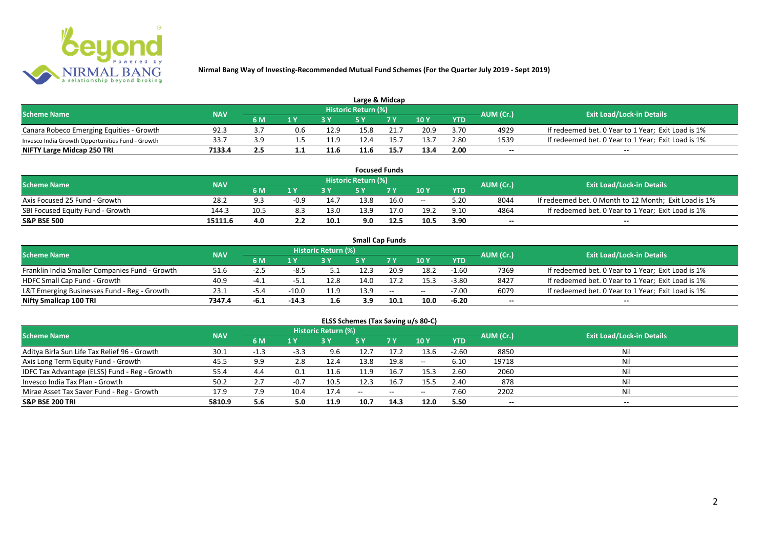

| Large & Midcap                                   |        |     |                         |      |                            |      |      |            |           |                                                    |  |  |
|--------------------------------------------------|--------|-----|-------------------------|------|----------------------------|------|------|------------|-----------|----------------------------------------------------|--|--|
| <b>Scheme Name</b><br><b>NAV</b>                 |        |     |                         |      | <b>Historic Return (%)</b> |      |      |            | AUM (Cr.) | <b>Exit Load/Lock-in Details</b>                   |  |  |
|                                                  |        | 6 M | $\mathbf{A} \mathbf{V}$ |      |                            | 7 V  | 10Y  | <b>YTD</b> |           |                                                    |  |  |
| Canara Robeco Emerging Equities - Growth         | 92.3   |     | 0.6                     | 12.9 | 15.8                       |      | 20.9 | 3.70       | 4929      | If redeemed bet. 0 Year to 1 Year; Exit Load is 1% |  |  |
| Invesco India Growth Opportunities Fund - Growth | 33.7   |     |                         | 11.9 | 12.4                       |      | 13.7 | 2.80       | 1539      | If redeemed bet. 0 Year to 1 Year; Exit Load is 1% |  |  |
| NIFTY Large Midcap 250 TRI                       | 7133.4 | 2.5 |                         | 11.6 | 11.6                       | 15.7 | 13.4 | 2.00       | $- -$     | $- -$                                              |  |  |

| <b>Focused Funds</b>             |            |      |        |      |                     |      |       |            |           |                                                       |  |  |
|----------------------------------|------------|------|--------|------|---------------------|------|-------|------------|-----------|-------------------------------------------------------|--|--|
| <b>Scheme Name</b>               | <b>NAV</b> |      |        |      | Historic Return (%) |      |       |            | AUM (Cr.) | <b>Exit Load/Lock-in Details</b>                      |  |  |
|                                  |            | 6 M  | 1 V    |      | cν                  | 7 V  | 10 Y  | <b>YTD</b> |           |                                                       |  |  |
| Axis Focused 25 Fund - Growth    | 28.2       | o, a | $-0.9$ | 14.7 | 13.8                | 16.0 | $- -$ | 5.20       | 8044      | If redeemed bet. 0 Month to 12 Month; Exit Load is 1% |  |  |
| SBI Focused Equity Fund - Growth | 144.3      | 10.5 |        | 13.0 | 13.9                | 17.0 | 19.2  | 9.10       | 4864      | If redeemed bet. 0 Year to 1 Year; Exit Load is 1%    |  |  |
| <b>S&amp;P BSE 500</b>           | 15111.6    | 4.0  |        | 10.1 | 9.0                 | 12.5 | 10.5  | 3.90       | $- -$     | $- -$                                                 |  |  |

|                                                |            |       |         |                     |      | <b>Small Cap Funds</b> |       |            |           |                                                    |
|------------------------------------------------|------------|-------|---------|---------------------|------|------------------------|-------|------------|-----------|----------------------------------------------------|
| <b>Scheme Name</b>                             | <b>NAV</b> |       |         | Historic Return (%) |      |                        |       |            | AUM (Cr.) | <b>Exit Load/Lock-in Details</b>                   |
|                                                |            | 6 M   |         |                     |      |                        | 10Y   | <b>YTD</b> |           |                                                    |
| Franklin India Smaller Companies Fund - Growth | 51.6       | -4.5  | -8.5    |                     | 12.3 | 20.9                   | 18.2  | -1.60      | 7369      | If redeemed bet. 0 Year to 1 Year; Exit Load is 1% |
| HDFC Small Cap Fund - Growth                   | 40.9       | -4. . | ב כד    | 12.8                | 14.0 | 17.2                   | 15.3  | $-3.80$    | 8427      | If redeemed bet. 0 Year to 1 Year; Exit Load is 1% |
| L&T Emerging Businesses Fund - Reg - Growth    | 23.1       | -5.4  | $-10.0$ | 11.9                | 13.9 | $\sim$                 | $- -$ | $-7.00$    | 6079      | If redeemed bet. 0 Year to 1 Year; Exit Load is 1% |
| Nifty Smallcap 100 TRI                         | 7347.4     | -6.1  | $-14.3$ | 1.6                 | 3.9  | 10.1                   | 10.0  | $-6.20$    | $- -$     | --                                                 |

|  | ELSS Schemes (Tax Saving u/s 80-C) |  |
|--|------------------------------------|--|
|--|------------------------------------|--|

| <b>Scheme Name</b>                            | <b>NAV</b> |        |        | <b>Historic Return (%)</b> |        |                                                |       |            | AUM (Cr.) | <b>Exit Load/Lock-in Details</b> |
|-----------------------------------------------|------------|--------|--------|----------------------------|--------|------------------------------------------------|-------|------------|-----------|----------------------------------|
|                                               |            | 6 M    | 1 Y    |                            | 5 Y    | 7 <sub>Y</sub>                                 | 10Y   | <b>YTD</b> |           |                                  |
| Aditya Birla Sun Life Tax Relief 96 - Growth  | 30.1       | $-1.3$ | $-3.3$ | 9.6                        | 12.7   | 17.2                                           | 13.6  | $-2.60$    | 8850      | Nil                              |
| Axis Long Term Equity Fund - Growth           | 45.5       | 9.9    | 2.8    | 12.4                       | 13.8   | 19.8                                           | $- -$ | 6.10       | 19718     | Nil                              |
| IDFC Tax Advantage (ELSS) Fund - Reg - Growth | 55.4       | 4.4    | 0.1    | 11.6                       | 11.9   | 16.7                                           | 15.3  | 2.60       | 2060      | Ni                               |
| Invesco India Tax Plan - Growth               | 50.2       | 2.7    | $-0.7$ | 10.5                       | 12.3   | 16.7                                           | 15.5  | 2.40       | 878       | Nil                              |
| Mirae Asset Tax Saver Fund - Reg - Growth     | 17.9       | 7.9    | 10.4   | 17.4                       | $  \,$ | $\hspace{0.1mm}-\hspace{0.1mm}-\hspace{0.1mm}$ | $- -$ | 7.60       | 2202      | Nil                              |
| <b>S&amp;P BSE 200 TRI</b>                    | 5810.9     | 5.6    | 5.0    | 11.9                       | 10.7   | 14.3                                           | 12.0  | 5.50       | $- -$     | $- -$                            |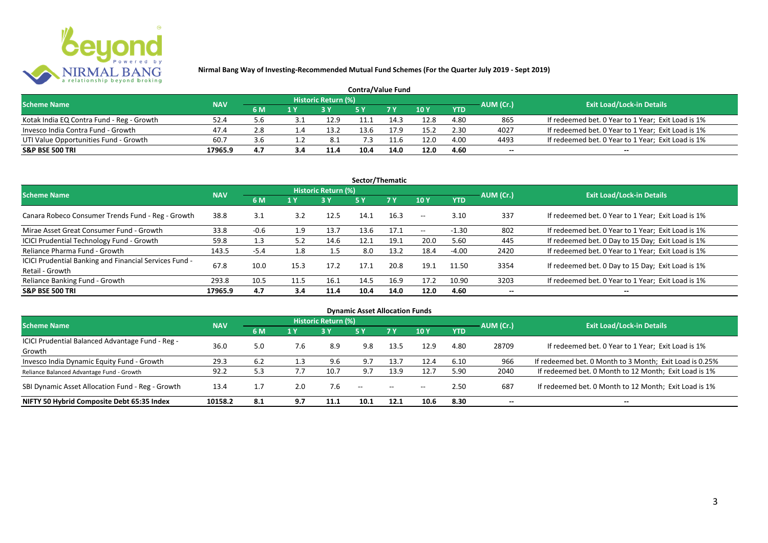

| <b>Contra/Value Fund</b>                  |            |     |     |                     |      |      |               |            |           |                                                    |  |  |  |
|-------------------------------------------|------------|-----|-----|---------------------|------|------|---------------|------------|-----------|----------------------------------------------------|--|--|--|
| <b>Scheme Name</b>                        | <b>NAV</b> |     |     | Historic Return (%) |      |      |               |            | AUM (Cr.) | <b>Exit Load/Lock-in Details</b>                   |  |  |  |
|                                           |            | 6 M | 1 Y |                     |      |      | $\sqrt{10}$ Y | <b>YTD</b> |           |                                                    |  |  |  |
| Kotak India EQ Contra Fund - Reg - Growth | 52.4       | 5.6 |     | 12.9                |      | 14.3 | 12.8          | 4.80       | 865       | If redeemed bet. 0 Year to 1 Year; Exit Load is 1% |  |  |  |
| Invesco India Contra Fund - Growth        | 47.4       | 2.8 |     | 13.2                | 13.6 | L7.9 | 15.2          | 2.30       | 4027      | If redeemed bet. 0 Year to 1 Year; Exit Load is 1% |  |  |  |
| UTI Value Opportunities Fund - Growth     | 60.7       | 3.6 |     | 8.1                 |      |      | 12.0          | 4.00       | 4493      | If redeemed bet. 0 Year to 1 Year; Exit Load is 1% |  |  |  |
| <b>S&amp;P BSE 500 TRI</b>                | 17965.9    | 4.7 | 3,4 | 11.4                | 10.4 | 14.0 | 12.0          | 4.60       | --        | $- -$                                              |  |  |  |

| Sector/Thematic                                                           |            |        |      |                     |            |           |            |            |           |                                                    |  |  |
|---------------------------------------------------------------------------|------------|--------|------|---------------------|------------|-----------|------------|------------|-----------|----------------------------------------------------|--|--|
| <b>Scheme Name</b>                                                        | <b>NAV</b> |        |      | Historic Return (%) |            |           |            |            | AUM (Cr.) | <b>Exit Load/Lock-in Details</b>                   |  |  |
|                                                                           |            | 6 M    | 1 Y  | <b>3Y</b>           | <b>5 Y</b> | <b>7Y</b> | 10Y        | <b>YTD</b> |           |                                                    |  |  |
| Canara Robeco Consumer Trends Fund - Reg - Growth                         | 38.8       | 3.1    | 3.2  | 12.5                | 14.1       | 16.3      | $\sim$ $-$ | 3.10       | 337       | If redeemed bet. 0 Year to 1 Year; Exit Load is 1% |  |  |
| Mirae Asset Great Consumer Fund - Growth                                  | 33.8       | $-0.6$ | 1.9  | 13.7                | 13.6       | 17.1      | $\sim$ $-$ | $-1.30$    | 802       | If redeemed bet. 0 Year to 1 Year; Exit Load is 1% |  |  |
| <b>ICICI Prudential Technology Fund - Growth</b>                          | 59.8       | 1.3    | 5.2  | 14.6                | 12.1       | 19.1      | 20.0       | 5.60       | 445       | If redeemed bet. 0 Day to 15 Day; Exit Load is 1%  |  |  |
| Reliance Pharma Fund - Growth                                             | 143.5      | $-5.4$ | 1.8  | 1.5                 | 8.0        | 13.2      | 18.4       | $-4.00$    | 2420      | If redeemed bet. 0 Year to 1 Year; Exit Load is 1% |  |  |
| ICICI Prudential Banking and Financial Services Fund -<br>Retail - Growth | 67.8       | 10.0   | 15.3 | 17.2                | 17.1       | 20.8      | 19.1       | 11.50      | 3354      | If redeemed bet. 0 Day to 15 Day; Exit Load is 1%  |  |  |
| Reliance Banking Fund - Growth                                            | 293.8      | 10.5   | 11.5 | 16.1                | 14.5       | 16.9      | 17.2       | 10.90      | 3203      | If redeemed bet. 0 Year to 1 Year; Exit Load is 1% |  |  |
| <b>S&amp;P BSE 500 TRI</b>                                                | 17965.9    | 4.7    | 3.4  | 11.4                | 10.4       | 14.0      | 12.0       | 4.60       |           | --                                                 |  |  |

| <b>Dynamic Asset Allocation Funds</b>            |            |     |       |                            |               |               |       |            |                          |                                                         |  |  |
|--------------------------------------------------|------------|-----|-------|----------------------------|---------------|---------------|-------|------------|--------------------------|---------------------------------------------------------|--|--|
| <b>Scheme Name</b>                               | <b>NAV</b> |     |       | <b>Historic Return (%)</b> |               |               |       |            | AUM (Cr.)                | <b>Exit Load/Lock-in Details</b>                        |  |  |
|                                                  |            | 6 M | 1 Y   | 73 Y.                      | 5 Y           | .7 Y          | 10Y   | <b>YTD</b> |                          |                                                         |  |  |
| ICICI Prudential Balanced Advantage Fund - Reg - | 36.0       |     | 7.6   |                            |               |               | 12.9  | 4.80       |                          |                                                         |  |  |
| Growth                                           |            | 5.0 |       | 8.9                        | 9.8           | 13.5          |       |            | 28709                    | If redeemed bet. 0 Year to 1 Year; Exit Load is 1%      |  |  |
| Invesco India Dynamic Equity Fund - Growth       | 29.3       | 6.2 | . . 3 | 9.6                        | 9.7           | 13.7          | 12.4  | 6.10       | 966                      | If redeemed bet. 0 Month to 3 Month; Exit Load is 0.25% |  |  |
| Reliance Balanced Advantage Fund - Growth        | 92.2       | 5.3 |       | 10.7                       | 9.7           | 13.9          | 12.7  | 5.90       | 2040                     | If redeemed bet. 0 Month to 12 Month; Exit Load is 1%   |  |  |
| SBI Dynamic Asset Allocation Fund - Reg - Growth | 13.4       |     | 2.0   | 7.6                        | $\sim$ $\sim$ | $\sim$ $\sim$ | $- -$ | 2.50       | 687                      | If redeemed bet. 0 Month to 12 Month; Exit Load is 1%   |  |  |
| NIFTY 50 Hybrid Composite Debt 65:35 Index       | 10158.2    | 8.1 | 9.7   | 11.1                       | 10.1          | 12.1          | 10.6  | 8.30       | $\overline{\phantom{a}}$ | $- -$                                                   |  |  |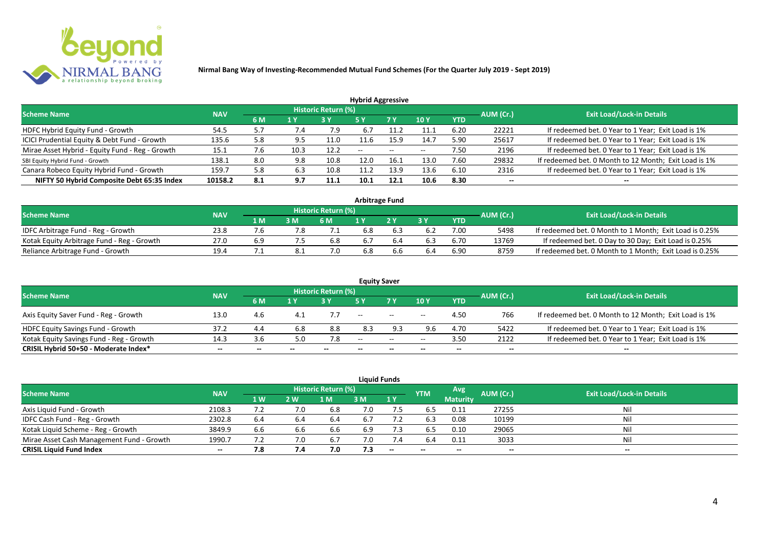

| <b>Hybrid Aggressive</b>                        |            |     |      |                            |                          |      |                          |            |                          |                                                       |  |  |  |
|-------------------------------------------------|------------|-----|------|----------------------------|--------------------------|------|--------------------------|------------|--------------------------|-------------------------------------------------------|--|--|--|
| <b>Scheme Name</b>                              | <b>NAV</b> |     |      | <b>Historic Return (%)</b> |                          |      |                          |            | AUM (Cr.)                | <b>Exit Load/Lock-in Details</b>                      |  |  |  |
|                                                 |            | 6 M | 1 Y  |                            | 5 Y                      | 7 Y  | 10Y                      | <b>YTD</b> |                          |                                                       |  |  |  |
| HDFC Hybrid Equity Fund - Growth                | 54.5       | 5.7 | 7.4  | 7.9                        | 6.7                      |      | 11.1                     | 6.20       | 22221                    | If redeemed bet. 0 Year to 1 Year; Exit Load is 1%    |  |  |  |
| ICICI Prudential Equity & Debt Fund - Growth    | 135.6      | 5.8 | 9.5  | 11.0                       |                          | 15.9 | 14.7                     | 5.90       | 25617                    | If redeemed bet. 0 Year to 1 Year; Exit Load is 1%    |  |  |  |
| Mirae Asset Hybrid - Equity Fund - Reg - Growth | 15.1       | 7.6 | 10.3 | 12.2                       | $\overline{\phantom{a}}$ | --   | $\overline{\phantom{a}}$ | 7.50       | 2196                     | If redeemed bet. 0 Year to 1 Year; Exit Load is 1%    |  |  |  |
| SBI Equity Hybrid Fund - Growth                 | 138.1      | 8.0 | 9.8  | 10.8                       | 12.0                     | 16.1 | 13.0                     | 7.60       | 29832                    | If redeemed bet. 0 Month to 12 Month; Exit Load is 1% |  |  |  |
| Canara Robeco Equity Hybrid Fund - Growth       | 159.       | 5.8 | 6.3  | 10.8                       |                          | 13.9 | 13.6                     | 6.10       | 2316                     | If redeemed bet. 0 Year to 1 Year; Exit Load is 1%    |  |  |  |
| NIFTY 50 Hybrid Composite Debt 65:35 Index      | 10158.2    | 8.1 | 9.7  | 11.1                       | 10.1                     | 12.1 | 10.6                     | 8.30       | $\overline{\phantom{a}}$ | $- -$                                                 |  |  |  |

| <b>Arbitrage Fund</b>                      |            |     |     |                            |     |  |     |      |           |                                                         |  |  |  |
|--------------------------------------------|------------|-----|-----|----------------------------|-----|--|-----|------|-----------|---------------------------------------------------------|--|--|--|
| <b>Scheme Name</b>                         | <b>NAV</b> |     |     | <b>Historic Return (%)</b> |     |  |     |      | AUM (Cr.) | <b>Exit Load/Lock-in Details</b>                        |  |  |  |
|                                            |            | 1 M | 3 M | 6 M                        |     |  | 2 V | YTD  |           |                                                         |  |  |  |
| IDFC Arbitrage Fund - Reg - Growth         | 23.8       |     |     |                            | 6.8 |  |     | 7.00 | 5498      | If redeemed bet. 0 Month to 1 Month; Exit Load is 0.25% |  |  |  |
| Kotak Equity Arbitrage Fund - Reg - Growth | 27.0       | 6.9 |     | 6.8                        | 6.7 |  |     | 6.70 | 13769     | If redeemed bet. 0 Day to 30 Day; Exit Load is 0.25%    |  |  |  |
| Reliance Arbitrage Fund - Growth           | 19.4       |     |     | 7.0                        | 6.8 |  | 6.4 | 6.90 | 8759      | If redeemed bet. 0 Month to 1 Month; Exit Load is 0.25% |  |  |  |

|                                          |            |       |       |                     |       | <b>Equity Saver</b>                            |                 |            |           |                                                       |
|------------------------------------------|------------|-------|-------|---------------------|-------|------------------------------------------------|-----------------|------------|-----------|-------------------------------------------------------|
| <b>Scheme Name</b>                       | <b>NAV</b> |       |       | Historic Return (%) |       |                                                |                 |            | AUM (Cr.) | <b>Exit Load/Lock-in Details</b>                      |
|                                          |            | 6 M   | 1 V   |                     |       | 7 <sub>V</sub>                                 | 10 <sub>V</sub> | <b>YTD</b> |           |                                                       |
| Axis Equity Saver Fund - Reg - Growth    | 13.0       | 4.6   |       |                     | $- -$ | $\hspace{0.1mm}-\hspace{0.1mm}-\hspace{0.1mm}$ | $- -$           | 4.50       | 766       | If redeemed bet. 0 Month to 12 Month; Exit Load is 1% |
| HDFC Equity Savings Fund - Growth        | 37.2       | 4.4   | 6.8   | 8.8                 | 8.3   | 9.3                                            | 9.6             | 4.70       | 5422      | If redeemed bet. 0 Year to 1 Year; Exit Load is 1%    |
| Kotak Equity Savings Fund - Reg - Growth | 14.3       | 3.6   | 5.0   | 7.8                 | $- -$ | $\sim$                                         | $- -$           | 3.50       | 2122      | If redeemed bet. 0 Year to 1 Year; Exit Load is 1%    |
| CRISIL Hybrid 50+50 - Moderate Index*    | $- -$      | $- -$ | $- -$ | $- -$               | $- -$ | --                                             |                 | $- -$      | $- -$     |                                                       |

|                                           |            |           |     |                            |     | <b>Liquid Funds</b>      |            |                 |           |                                  |
|-------------------------------------------|------------|-----------|-----|----------------------------|-----|--------------------------|------------|-----------------|-----------|----------------------------------|
| <b>Scheme Name</b>                        | <b>NAV</b> |           |     | <b>Historic Return (%)</b> |     |                          | <b>YTM</b> | Avg             | AUM (Cr.) | <b>Exit Load/Lock-in Details</b> |
|                                           |            | <b>1W</b> | 2 W | l M                        | 3 M | 1Y                       |            | <b>Maturity</b> |           |                                  |
| Axis Liquid Fund - Growth                 | 2108.3     | ے ،       | 7.0 | 6.8                        | 7.0 |                          | 6.5        | 0.11            | 27255     | Nil                              |
| IDFC Cash Fund - Reg - Growth             | 2302.8     | 6.4       |     | 6.4                        | 6.7 |                          | 6.3        | 0.08            | 10199     | Nil                              |
| Kotak Liquid Scheme - Reg - Growth        | 3849.9     | 6.6       | 6.6 | 6.6                        | 6.9 | 7.3                      | 6.5        | 0.10            | 29065     | Nil                              |
| Mirae Asset Cash Management Fund - Growth | 1990.7     |           |     | -6.7                       | 7.0 | 7.4                      | 6.4        | 0.11            | 3033      | Nil                              |
| <b>CRISIL Liquid Fund Index</b>           | $- -$      | 7.8       | 7.4 | 7.0                        | 7.3 | $\overline{\phantom{a}}$ | $- -$      | $-$             | $-$       | $- -$                            |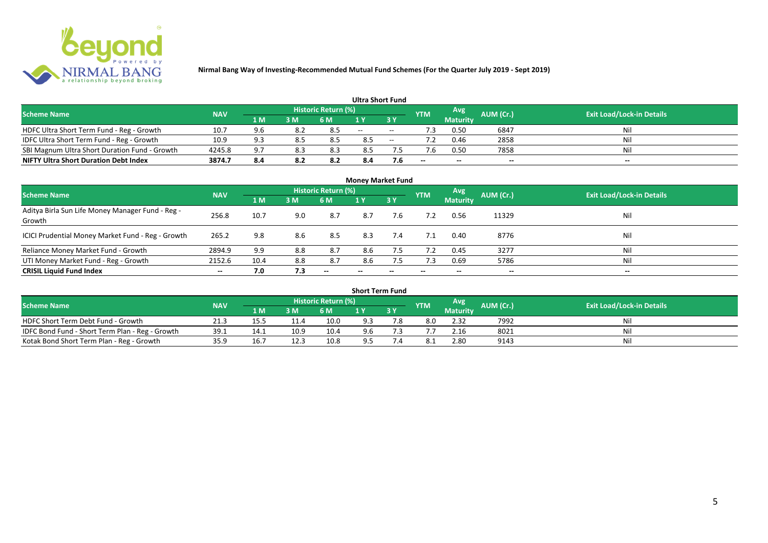

|                                               |            |     |     |                            | <b>Ultra Short Fund</b> |        |            |                 |           |                                  |
|-----------------------------------------------|------------|-----|-----|----------------------------|-------------------------|--------|------------|-----------------|-----------|----------------------------------|
| <b>Scheme Name</b>                            | <b>NAV</b> |     |     | <b>Historic Return (%)</b> |                         |        | <b>YTM</b> | Avg             | AUM (Cr.) | <b>Exit Load/Lock-in Details</b> |
|                                               |            | 1 M | 3 M | 6 M                        | 1 Y                     |        |            | <b>Maturity</b> |           |                                  |
| HDFC Ultra Short Term Fund - Reg - Growth     | 10.7       | 9.6 | 8.2 |                            | $\sim$                  | $\sim$ | ٠3         | 0.50            | 6847      | Nil                              |
| IDFC Ultra Short Term Fund - Reg - Growth     | 10.9       | P P |     |                            | 8.5                     | $\sim$ |            | 0.46            | 2858      | Nil                              |
| SBI Magnum Ultra Short Duration Fund - Growth | 4245.8     | 9.7 | 8.3 | 8.3                        | 8.5                     |        |            | 0.50            | 7858      | Nil                              |
| <b>NIFTY Ultra Short Duration Debt Index</b>  | 3874.7     | 8.4 | 8.2 | 8.2                        | 8.4                     | 7.6    | $- -$      | $- -$           | $- -$     | $\overline{\phantom{a}}$         |

| <b>Money Market Fund</b>                                   |            |      |     |                     |                          |     |            |                 |           |                                  |  |  |  |  |
|------------------------------------------------------------|------------|------|-----|---------------------|--------------------------|-----|------------|-----------------|-----------|----------------------------------|--|--|--|--|
| <b>Scheme Name</b>                                         | <b>NAV</b> |      |     | Historic Return (%) |                          |     | <b>YTM</b> | Avg             | AUM (Cr.) | <b>Exit Load/Lock-in Details</b> |  |  |  |  |
|                                                            |            | 1 M  | 3M  | 6 M                 | 1Y                       | 3 Y |            | <b>Maturity</b> |           |                                  |  |  |  |  |
| Aditya Birla Sun Life Money Manager Fund - Reg -<br>Growth | 256.8      | 10.7 | 9.0 | 8.7                 | 8.7                      | 7.6 |            | 0.56            | 11329     | Nil                              |  |  |  |  |
| ICICI Prudential Money Market Fund - Reg - Growth          | 265.2      | 9.8  | 8.6 | 8.5                 | 8.3                      | 7.4 | 7.1        | 0.40            | 8776      | Nil                              |  |  |  |  |
| Reliance Money Market Fund - Growth                        | 2894.9     | 9.9  | 8.8 | 8.7                 | 8.6                      | 7.5 | 7.2        | 0.45            | 3277      | Nil                              |  |  |  |  |
| UTI Money Market Fund - Reg - Growth                       | 2152.6     | 10.4 | 8.8 | 8.7                 | 8.6                      | 7.5 | 7.3        | 0.69            | 5786      | Nil                              |  |  |  |  |
| <b>CRISIL Liquid Fund Index</b>                            | $- -$      | 7.0  | 7.3 | $- -$               | $\overline{\phantom{a}}$ | --  | $- -$      | $- -$           | $- -$     | $\overline{\phantom{a}}$         |  |  |  |  |

| <b>Short Term Fund</b>                          |            |      |      |                            |     |    |            |                 |           |                                  |  |  |  |
|-------------------------------------------------|------------|------|------|----------------------------|-----|----|------------|-----------------|-----------|----------------------------------|--|--|--|
| <b>Scheme Name</b>                              | <b>NAV</b> |      |      | <b>Historic Return (%)</b> |     |    | <b>YTM</b> | Avg             | AUM (Cr.) | <b>Exit Load/Lock-in Details</b> |  |  |  |
|                                                 |            | 1 M  | 3 M  | 6 M                        |     | 3Y |            | <b>Maturity</b> |           |                                  |  |  |  |
| HDFC Short Term Debt Fund - Growth              | 21.3       | 15.5 |      | 10.0                       | 9.3 |    | 8.0        | 2.32            | 7992      | Nil                              |  |  |  |
| IDFC Bond Fund - Short Term Plan - Reg - Growth | 39.1       | 14.1 | 10.9 | 10.4                       | 9.6 |    |            | 2.16            | 8021      | Nil                              |  |  |  |
| Kotak Bond Short Term Plan - Reg - Growth       | 35.9       | 16.7 | 12.3 | 10.8                       | 9.5 |    |            | 2.80            | 9143      | Nil                              |  |  |  |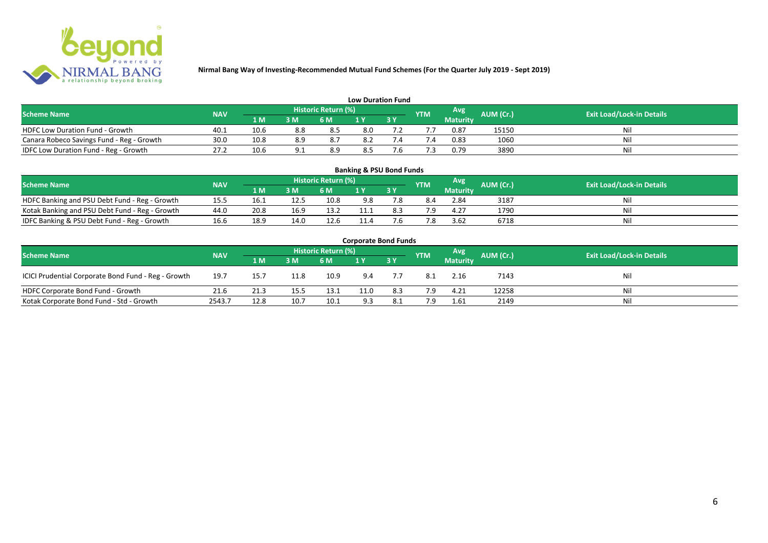

| <b>Low Duration Fund</b>                  |            |      |     |                            |     |  |               |          |           |                                  |  |  |  |  |
|-------------------------------------------|------------|------|-----|----------------------------|-----|--|---------------|----------|-----------|----------------------------------|--|--|--|--|
| <b>Scheme Name</b>                        | <b>NAV</b> |      |     | <b>Historic Return (%)</b> |     |  | <b>YTM</b>    | Avg      | AUM (Cr.) | <b>Exit Load/Lock-in Details</b> |  |  |  |  |
|                                           |            | 1 M  | 3 M | 6 M                        | 1 Y |  |               | Maturity |           |                                  |  |  |  |  |
| <b>HDFC Low Duration Fund - Growth</b>    | 40.1       | 10.6 | 8.8 | 8.5                        | 8.0 |  |               | 0.87     | 15150     | Nil                              |  |  |  |  |
| Canara Robeco Savings Fund - Reg - Growth | 30.0       | 10.8 | 8.9 | 8.,                        | 8.2 |  | $^{\prime}.4$ | 0.83     | 1060      | Nil                              |  |  |  |  |
| IDFC Low Duration Fund - Reg - Growth     | 27.2       | 10.6 |     | 8.9                        | 8.5 |  |               | 0.79     | 3890      | Nil                              |  |  |  |  |

| <b>Banking &amp; PSU Bond Funds</b>            |            |      |      |                            |      |           |            |                 |           |                                  |  |  |  |  |
|------------------------------------------------|------------|------|------|----------------------------|------|-----------|------------|-----------------|-----------|----------------------------------|--|--|--|--|
| <b>Scheme Name</b>                             | <b>NAV</b> |      |      | <b>Historic Return (%)</b> |      |           | <b>YTM</b> | Avg             | AUM (Cr.) | <b>Exit Load/Lock-in Details</b> |  |  |  |  |
|                                                |            | 1 M  | 3M   | 6 M                        |      | <b>3Y</b> |            | <b>Maturity</b> |           |                                  |  |  |  |  |
| HDFC Banking and PSU Debt Fund - Reg - Growth  | 15.5       | 16.1 | 12.5 | 10.8                       | 9.8  |           | 8.4        | 2.84            | 3187      | Ni                               |  |  |  |  |
| Kotak Banking and PSU Debt Fund - Reg - Growth | 44.0       | 20.8 | 16.9 | 13.2                       | 11.1 | 8.3       | 7.9        | 4.27            | 1790      | Ni                               |  |  |  |  |
| IDFC Banking & PSU Debt Fund - Reg - Growth    | 16.6       | 18.9 | 14.0 | 12.6                       | 11.4 |           | .8         | 3.62            | 6718      | Ni                               |  |  |  |  |

| <b>Corporate Bond Funds</b>                         |            |      |      |                     |      |           |            |                 |           |                                  |  |  |  |
|-----------------------------------------------------|------------|------|------|---------------------|------|-----------|------------|-----------------|-----------|----------------------------------|--|--|--|
| <b>Scheme Name</b>                                  | <b>NAV</b> |      |      | Historic Return (%) |      |           | <b>YTM</b> | Avg             | AUM (Cr.) | <b>Exit Load/Lock-in Details</b> |  |  |  |
|                                                     |            | 1 M  | 3 M  | 6 M                 |      | <b>3Y</b> |            | <b>Maturity</b> |           |                                  |  |  |  |
| ICICI Prudential Corporate Bond Fund - Reg - Growth | 19.7       | 15.7 | 11.8 | 10.9                | 9.4  |           | 8.1        | 2.16            | 7143      | Nil                              |  |  |  |
| HDFC Corporate Bond Fund - Growth                   | 21.6       | 21.3 | 15.5 | 13.1                | 11.0 | 8.3       | 7.9        | 4.21            | 12258     | Nil                              |  |  |  |
| Kotak Corporate Bond Fund - Std - Growth            | 2543.7     | 12.8 | 10.7 | 10.1                | 9.3  | 8.1       | 7.9        | 1.61            | 2149      | Nil                              |  |  |  |